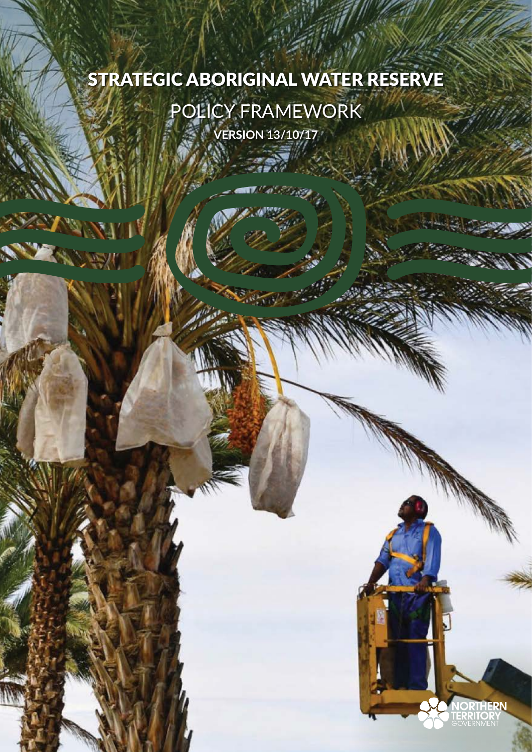# STRATEGIC ABORIGINAL WATER RESERVE

# POLICY FRAMEWORK **VERSION 13/10/17**

 $\mathbf{N}$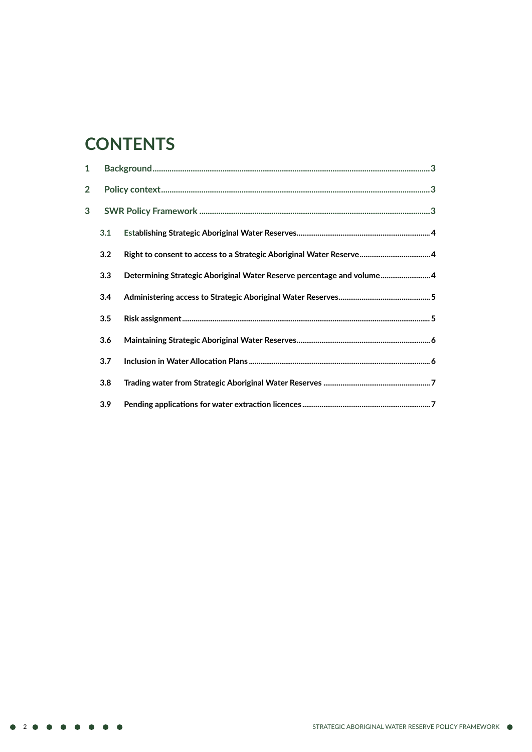# **CONTENTS**

| 1              |     |                                                                        |  |  |
|----------------|-----|------------------------------------------------------------------------|--|--|
| $\overline{2}$ |     |                                                                        |  |  |
| 3              |     |                                                                        |  |  |
|                | 3.1 |                                                                        |  |  |
|                | 3.2 |                                                                        |  |  |
|                | 3.3 | Determining Strategic Aboriginal Water Reserve percentage and volume 4 |  |  |
|                | 3.4 |                                                                        |  |  |
|                | 3.5 |                                                                        |  |  |
|                | 3.6 |                                                                        |  |  |
|                | 3.7 |                                                                        |  |  |
|                | 3.8 |                                                                        |  |  |
|                | 3.9 |                                                                        |  |  |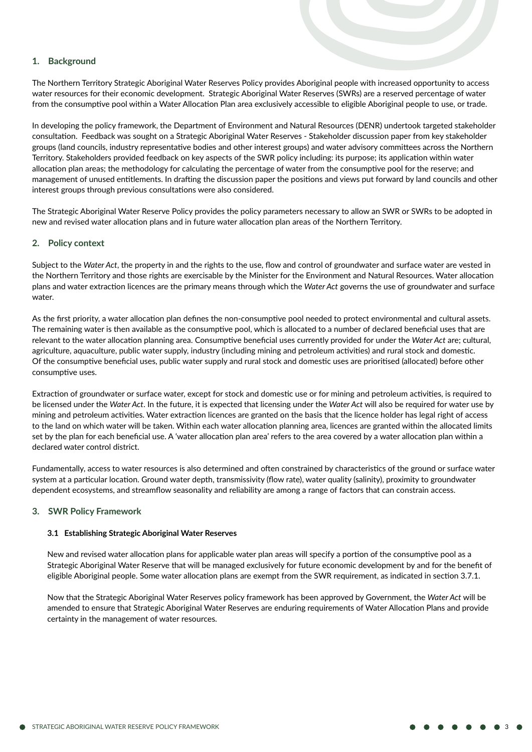# **1. Background**

The Northern Territory Strategic Aboriginal Water Reserves Policy provides Aboriginal people with increased opportunity to access water resources for their economic development. Strategic Aboriginal Water Reserves (SWRs) are a reserved percentage of water from the consumptive pool within a Water Allocation Plan area exclusively accessible to eligible Aboriginal people to use, or trade.

In developing the policy framework, the Department of Environment and Natural Resources (DENR) undertook targeted stakeholder consultation. Feedback was sought on a Strategic Aboriginal Water Reserves - Stakeholder discussion paper from key stakeholder groups (land councils, industry representative bodies and other interest groups) and water advisory committees across the Northern Territory. Stakeholders provided feedback on key aspects of the SWR policy including: its purpose; its application within water allocation plan areas; the methodology for calculating the percentage of water from the consumptive pool for the reserve; and management of unused entitlements. In drafting the discussion paper the positions and views put forward by land councils and other interest groups through previous consultations were also considered.

The Strategic Aboriginal Water Reserve Policy provides the policy parameters necessary to allow an SWR or SWRs to be adopted in new and revised water allocation plans and in future water allocation plan areas of the Northern Territory.

# **2. Policy context**

Subject to the *Water Act*, the property in and the rights to the use, flow and control of groundwater and surface water are vested in the Northern Territory and those rights are exercisable by the Minister for the Environment and Natural Resources. Water allocation plans and water extraction licences are the primary means through which the *Water Act* governs the use of groundwater and surface water.

As the first priority, a water allocation plan defines the non-consumptive pool needed to protect environmental and cultural assets. The remaining water is then available as the consumptive pool, which is allocated to a number of declared beneficial uses that are relevant to the water allocation planning area. Consumptive beneficial uses currently provided for under the *Water Act* are; cultural, agriculture, aquaculture, public water supply, industry (including mining and petroleum activities) and rural stock and domestic. Of the consumptive beneficial uses, public water supply and rural stock and domestic uses are prioritised (allocated) before other consumptive uses.

Extraction of groundwater or surface water, except for stock and domestic use or for mining and petroleum activities, is required to be licensed under the *Water Act*. In the future, it is expected that licensing under the *Water Act* will also be required for water use by mining and petroleum activities. Water extraction licences are granted on the basis that the licence holder has legal right of access to the land on which water will be taken. Within each water allocation planning area, licences are granted within the allocated limits set by the plan for each beneficial use. A 'water allocation plan area' refers to the area covered by a water allocation plan within a declared water control district.

Fundamentally, access to water resources is also determined and often constrained by characteristics of the ground or surface water system at a particular location. Ground water depth, transmissivity (flow rate), water quality (salinity), proximity to groundwater dependent ecosystems, and streamflow seasonality and reliability are among a range of factors that can constrain access.

### **3. SWR Policy Framework**

## **3.1 Establishing Strategic Aboriginal Water Reserves**

New and revised water allocation plans for applicable water plan areas will specify a portion of the consumptive pool as a Strategic Aboriginal Water Reserve that will be managed exclusively for future economic development by and for the benefit of eligible Aboriginal people. Some water allocation plans are exempt from the SWR requirement, as indicated in section 3.7.1.

Now that the Strategic Aboriginal Water Reserves policy framework has been approved by Government, the *Water Act* will be amended to ensure that Strategic Aboriginal Water Reserves are enduring requirements of Water Allocation Plans and provide certainty in the management of water resources.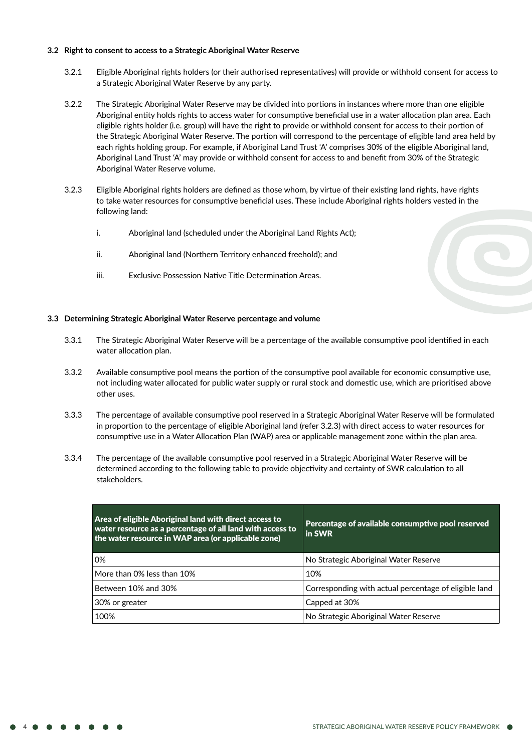# **3.2 Right to consent to access to a Strategic Aboriginal Water Reserve**

- 3.2.1 Eligible Aboriginal rights holders (or their authorised representatives) will provide or withhold consent for access to a Strategic Aboriginal Water Reserve by any party.
- 3.2.2 The Strategic Aboriginal Water Reserve may be divided into portions in instances where more than one eligible Aboriginal entity holds rights to access water for consumptive beneficial use in a water allocation plan area. Each eligible rights holder (i.e. group) will have the right to provide or withhold consent for access to their portion of the Strategic Aboriginal Water Reserve. The portion will correspond to the percentage of eligible land area held by each rights holding group. For example, if Aboriginal Land Trust 'A' comprises 30% of the eligible Aboriginal land, Aboriginal Land Trust 'A' may provide or withhold consent for access to and benefit from 30% of the Strategic Aboriginal Water Reserve volume.
- 3.2.3 Eligible Aboriginal rights holders are defined as those whom, by virtue of their existing land rights, have rights to take water resources for consumptive beneficial uses. These include Aboriginal rights holders vested in the following land:
	- i. Aboriginal land (scheduled under the Aboriginal Land Rights Act);
	- ii. Aboriginal land (Northern Territory enhanced freehold); and
	- iii. Exclusive Possession Native Title Determination Areas.

# **3.3 Determining Strategic Aboriginal Water Reserve percentage and volume**

- 3.3.1 The Strategic Aboriginal Water Reserve will be a percentage of the available consumptive pool identified in each water allocation plan.
- 3.3.2 Available consumptive pool means the portion of the consumptive pool available for economic consumptive use, not including water allocated for public water supply or rural stock and domestic use, which are prioritised above other uses.
- 3.3.3 The percentage of available consumptive pool reserved in a Strategic Aboriginal Water Reserve will be formulated in proportion to the percentage of eligible Aboriginal land (refer 3.2.3) with direct access to water resources for consumptive use in a Water Allocation Plan (WAP) area or applicable management zone within the plan area.
- 3.3.4 The percentage of the available consumptive pool reserved in a Strategic Aboriginal Water Reserve will be determined according to the following table to provide objectivity and certainty of SWR calculation to all stakeholders.

| Area of eligible Aboriginal land with direct access to<br>water resource as a percentage of all land with access to<br>the water resource in WAP area (or applicable zone) | Percentage of available consumptive pool reserved<br>in SWR |
|----------------------------------------------------------------------------------------------------------------------------------------------------------------------------|-------------------------------------------------------------|
| 0%                                                                                                                                                                         | No Strategic Aboriginal Water Reserve                       |
| More than 0% less than 10%                                                                                                                                                 | 10%                                                         |
| Between 10% and 30%                                                                                                                                                        | Corresponding with actual percentage of eligible land       |
| 30% or greater                                                                                                                                                             | Capped at 30%                                               |
| 100%                                                                                                                                                                       | No Strategic Aboriginal Water Reserve                       |

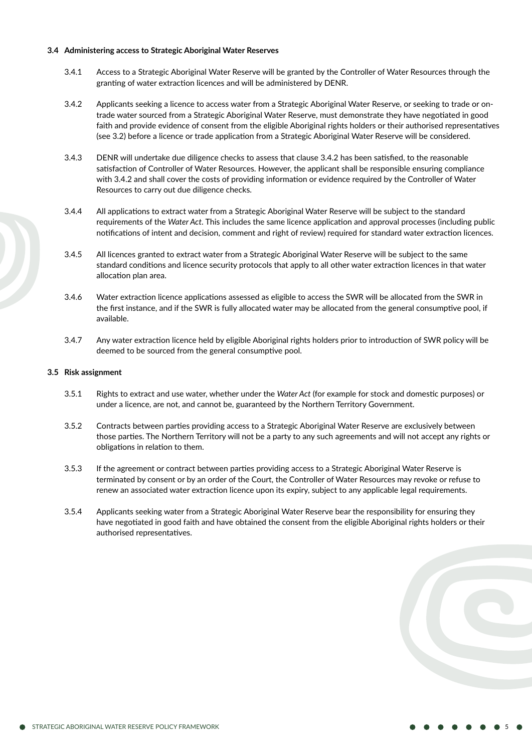# **3.4 Administering access to Strategic Aboriginal Water Reserves**

- 3.4.1 Access to a Strategic Aboriginal Water Reserve will be granted by the Controller of Water Resources through the granting of water extraction licences and will be administered by DENR.
- 3.4.2 Applicants seeking a licence to access water from a Strategic Aboriginal Water Reserve, or seeking to trade or ontrade water sourced from a Strategic Aboriginal Water Reserve, must demonstrate they have negotiated in good faith and provide evidence of consent from the eligible Aboriginal rights holders or their authorised representatives (see 3.2) before a licence or trade application from a Strategic Aboriginal Water Reserve will be considered.
- 3.4.3 DENR will undertake due diligence checks to assess that clause 3.4.2 has been satisfied, to the reasonable satisfaction of Controller of Water Resources. However, the applicant shall be responsible ensuring compliance with 3.4.2 and shall cover the costs of providing information or evidence required by the Controller of Water Resources to carry out due diligence checks.
- 3.4.4 All applications to extract water from a Strategic Aboriginal Water Reserve will be subject to the standard requirements of the *Water Act*. This includes the same licence application and approval processes (including public notifications of intent and decision, comment and right of review) required for standard water extraction licences.
- 3.4.5 All licences granted to extract water from a Strategic Aboriginal Water Reserve will be subject to the same standard conditions and licence security protocols that apply to all other water extraction licences in that water allocation plan area.
- 3.4.6 Water extraction licence applications assessed as eligible to access the SWR will be allocated from the SWR in the first instance, and if the SWR is fully allocated water may be allocated from the general consumptive pool, if available.
- 3.4.7 Any water extraction licence held by eligible Aboriginal rights holders prior to introduction of SWR policy will be deemed to be sourced from the general consumptive pool.

### **3.5 Risk assignment**

- 3.5.1 Rights to extract and use water, whether under the *Water Act* (for example for stock and domestic purposes) or under a licence, are not, and cannot be, guaranteed by the Northern Territory Government.
- 3.5.2 Contracts between parties providing access to a Strategic Aboriginal Water Reserve are exclusively between those parties. The Northern Territory will not be a party to any such agreements and will not accept any rights or obligations in relation to them.
- 3.5.3 If the agreement or contract between parties providing access to a Strategic Aboriginal Water Reserve is terminated by consent or by an order of the Court, the Controller of Water Resources may revoke or refuse to renew an associated water extraction licence upon its expiry, subject to any applicable legal requirements.
- 3.5.4 Applicants seeking water from a Strategic Aboriginal Water Reserve bear the responsibility for ensuring they have negotiated in good faith and have obtained the consent from the eligible Aboriginal rights holders or their authorised representatives.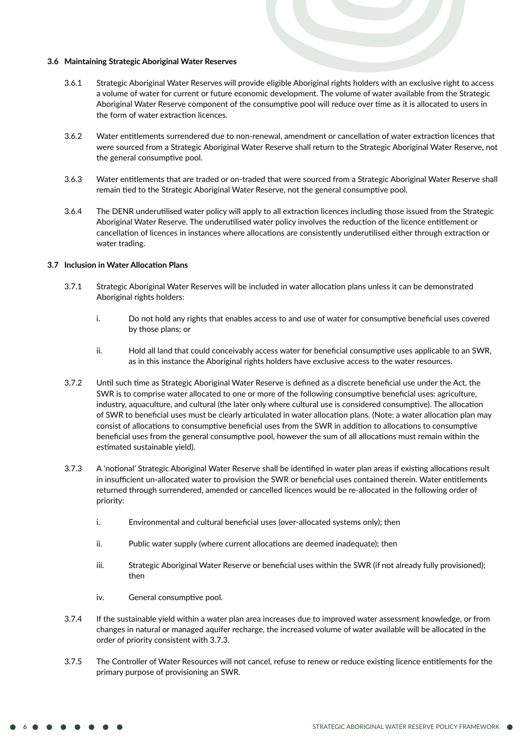### **3.6 Maintaining Strategic Aboriginal Water Reserves**

- 3.6.1 Strategic Aboriginal Water Reserves will provide eligible Aboriginal rights holders with an exclusive right to access a volume of water for current or future economic development. The volume of water available from the Strategic Aboriginal Water Reserve component of the consumptive pool will reduce over time as it is allocated to users in the form of water extraction licences.
- 3.6.2 Water entitlements surrendered due to non-renewal, amendment or cancellation of water extraction licences that were sourced from a Strategic Aboriginal Water Reserve shall return to the Strategic Aboriginal Water Reserve, not the general consumptive pool.
- 3.6.3 Water entitlements that are traded or on-traded that were sourced from a Strategic Aboriginal Water Reserve shall remain tied to the Strategic Aboriginal Water Reserve, not the general consumptive pool.
- 3.6.4 The DENR underutilised water policy will apply to all extraction licences including those issued from the Strategic Aboriginal Water Reserve. The underutilised water policy involves the reduction of the licence entitlement or cancellation of licences in instances where allocations are consistently underutilised either through extraction or water trading.

### **3.7 Inclusion in Water Allocation Plans**

- 3.7.1 Strategic Aboriginal Water Reserves will be included in water allocation plans unless it can be demonstrated Aboriginal rights holders:
	- i. Do not hold any rights that enables access to and use of water for consumptive beneficial uses covered by those plans; or
	- ii. Hold all land that could conceivably access water for beneficial consumptive uses applicable to an SWR, as in this instance the Aboriginal rights holders have exclusive access to the water resources.
- 3.7.2 Until such time as Strategic Aboriginal Water Reserve is defined as a discrete beneficial use under the Act, the SWR is to comprise water allocated to one or more of the following consumptive beneficial uses: agriculture, industry, aquaculture, and cultural (the later only where cultural use is considered consumptive). The allocation of SWR to beneficial uses must be clearly articulated in water allocation plans. (Note: a water allocation plan may consist of allocations to consumptive beneficial uses from the SWR in addition to allocations to consumptive beneficial uses from the general consumptive pool, however the sum of all allocations must remain within the estimated sustainable yield).
- 3.7.3 A 'notional' Strategic Aboriginal Water Reserve shall be identified in water plan areas if existing allocations result in insufficient un-allocated water to provision the SWR or beneficial uses contained therein. Water entitlements returned through surrendered, amended or cancelled licences would be re-allocated in the following order of priority:
	- i. Environmental and cultural beneficial uses (over-allocated systems only); then
	- ii. Public water supply (where current allocations are deemed inadequate); then
	- iii. Strategic Aboriginal Water Reserve or beneficial uses within the SWR (if not already fully provisioned); then
	- iv. General consumptive pool.
- 3.7.4 If the sustainable yield within a water plan area increases due to improved water assessment knowledge, or from changes in natural or managed aquifer recharge, the increased volume of water available will be allocated in the order of priority consistent with 3.7.3.
- 3.7.5 The Controller of Water Resources will not cancel, refuse to renew or reduce existing licence entitlements for the primary purpose of provisioning an SWR.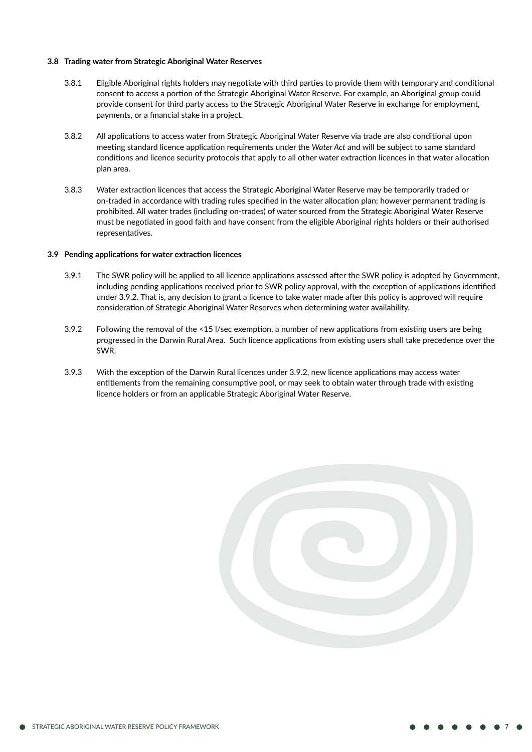# **3.8 Trading water from Strategic Aboriginal Water Reserves**

- 3.8.1 Eligible Aboriginal rights holders may negotiate with third parties to provide them with temporary and conditional consent to access a portion of the Strategic Aboriginal Water Reserve. For example, an Aboriginal group could provide consent for third party access to the Strategic Aboriginal Water Reserve in exchange for employment, payments, or a financial stake in a project.
- 3.8.2 All applications to access water from Strategic Aboriginal Water Reserve via trade are also conditional upon meeting standard licence application requirements under the *Water Act* and will be subject to same standard conditions and licence security protocols that apply to all other water extraction licences in that water allocation plan area.
- 3.8.3 Water extraction licences that access the Strategic Aboriginal Water Reserve may be temporarily traded or on-traded in accordance with trading rules specified in the water allocation plan; however permanent trading is prohibited. All water trades (including on-trades) of water sourced from the Strategic Aboriginal Water Reserve must be negotiated in good faith and have consent from the eligible Aboriginal rights holders or their authorised representatives.

### **3.9 Pending applications for water extraction licences**

- 3.9.1 The SWR policy will be applied to all licence applications assessed after the SWR policy is adopted by Government, including pending applications received prior to SWR policy approval, with the exception of applications identified under 3.9.2. That is, any decision to grant a licence to take water made after this policy is approved will require consideration of Strategic Aboriginal Water Reserves when determining water availability.
- 3.9.2 Following the removal of the <15 l/sec exemption, a number of new applications from existing users are being progressed in the Darwin Rural Area. Such licence applications from existing users shall take precedence over the SWR.
- 3.9.3 With the exception of the Darwin Rural licences under 3.9.2, new licence applications may access water entitlements from the remaining consumptive pool, or may seek to obtain water through trade with existing licence holders or from an applicable Strategic Aboriginal Water Reserve.